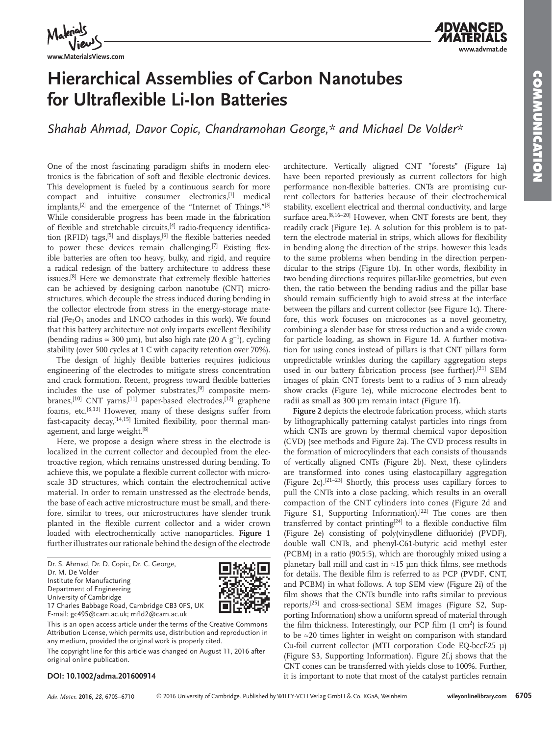

**www.MaterialsViews.com**

## **Hierarchical Assemblies of Carbon Nanotubes for Ultraflexible Li-Ion Batteries**

Shahab Ahmad, Davor Copic, Chandramohan George,\* and Michael De Volder\*

 One of the most fascinating paradigm shifts in modern electronics is the fabrication of soft and flexible electronic devices. This development is fueled by a continuous search for more compact and intuitive consumer electronics, [1] medical implants,  $[2]$  and the emergence of the "Internet of Things." $[3]$ While considerable progress has been made in the fabrication of flexible and stretchable circuits, <sup>[4]</sup> radio-frequency identification (RFID) tags,  $[5]$  and displays,  $[6]$  the flexible batteries needed to power these devices remain challenging.<sup>[7]</sup> Existing flexible batteries are often too heavy, bulky, and rigid, and require a radical redesign of the battery architecture to address these issues.<sup>[8]</sup> Here we demonstrate that extremely flexible batteries can be achieved by designing carbon nanotube (CNT) microstructures, which decouple the stress induced during bending in the collector electrode from stress in the energy-storage material ( $Fe<sub>2</sub>O<sub>3</sub>$  anodes and LNCO cathodes in this work). We found that this battery architecture not only imparts excellent flexibility (bending radius  $\approx$  300 µm), but also high rate (20 A g<sup>-1</sup>), cycling stability (over 500 cycles at 1 C with capacity retention over 70%).

The design of highly flexible batteries requires judicious engineering of the electrodes to mitigate stress concentration and crack formation. Recent, progress toward flexible batteries includes the use of polymer substrates, $[9]$  composite membranes,  $[10]$  CNT yarns,  $[11]$  paper-based electrodes,  $[12]$  graphene foams, etc.  $[8,13]$  However, many of these designs suffer from fast-capacity decay, [14,15] limited flexibility, poor thermal management, and large weight.<sup>[8]</sup>

 Here, we propose a design where stress in the electrode is localized in the current collector and decoupled from the electroactive region, which remains unstressed during bending. To achieve this, we populate a flexible current collector with microscale 3D structures, which contain the electrochemical active material. In order to remain unstressed as the electrode bends, the base of each active microstructure must be small, and therefore, similar to trees, our microstructures have slender trunk planted in the flexible current collector and a wider crown loaded with electrochemically active nanoparticles. **Figure 1** further illustrates our rationale behind the design of the electrode

 Dr. S. Ahmad, Dr. D. Copic, Dr. C. George, Dr. M. De Volder Institute for Manufacturing Department of Engineering University of Cambridge



17 Charles Babbage Road, Cambridge CB3 0FS, UK E-mail: gc495@cam.ac.uk; mfld2@cam.ac.uk

This is an open access article under the terms of the Creative Commons Attribution License, which permits use, distribution and reproduction in any medium, provided the original work is properly cited.

The copyright line for this article was changed on August 11, 2016 after original online publication.

#### architecture. Vertically aligned CNT "forests" (Figure 1a) have been reported previously as current collectors for high performance non-flexible batteries. CNTs are promising current collectors for batteries because of their electrochemical stability, excellent electrical and thermal conductivity, and large surface area.<sup>[8,16-20]</sup> However, when CNT forests are bent, they readily crack (Figure 1e). A solution for this problem is to pattern the electrode material in strips, which allows for flexibility in bending along the direction of the strips, however this leads to the same problems when bending in the direction perpendicular to the strips (Figure 1b). In other words, flexibility in two bending directions requires pillar-like geometries, but even then, the ratio between the bending radius and the pillar base should remain sufficiently high to avoid stress at the interface between the pillars and current collector (see Figure 1c). Therefore, this work focuses on microcones as a novel geometry, combining a slender base for stress reduction and a wide crown for particle loading, as shown in Figure 1d. A further motivation for using cones instead of pillars is that CNT pillars form unpredictable wrinkles during the capillary aggregation steps used in our battery fabrication process (see further).<sup>[21]</sup> SEM images of plain CNT forests bent to a radius of 3 mm already show cracks (Figure 1e), while microcone electrodes bent to radii as small as 300 µm remain intact (Figure 1f).

**Figure 2** depicts the electrode fabrication process, which starts by lithographically patterning catalyst particles into rings from which CNTs are grown by thermal chemical vapor deposition (CVD) (see methods and Figure 2a). The CVD process results in the formation of microcylinders that each consists of thousands of vertically aligned CNTs (Figure 2b). Next, these cylinders are transformed into cones using elastocapillary aggregation (Figure 2c).<sup>[21–23]</sup> Shortly, this process uses capillary forces to pull the CNTs into a close packing, which results in an overall compaction of the CNT cylinders into cones (Figure 2d and Figure S1, Supporting Information).<sup>[22]</sup> The cones are then transferred by contact printing  $[24]$  to a flexible conductive film (Figure 2e) consisting of poly(vinydlene difluoride) (PVDF), double wall CNTs, and phenyl-C61-butyric acid methyl ester (PCBM) in a ratio (90:5:5), which are thoroughly mixed using a planetary ball mill and cast in ≈15  $\mu$ m thick films, see methods for details. The flexible film is referred to as PCP (PVDF, CNT, and PCBM) in what follows. A top SEM view (Figure 2i) of the film shows that the CNTs bundle into rafts similar to previous reports,<sup>[25]</sup> and cross-sectional SEM images (Figure S2, Supporting Information) show a uniform spread of material through the film thickness. Interestingly, our PCP film  $(1 \text{ cm}^2)$  is found to be ≈20 times lighter in weight on comparison with standard Cu-foil current collector (MTI corporation Code EQ-bccf-25 µ) (Figure S3, Supporting Information). Figure 2f,j shows that the CNT cones can be transferred with yields close to 100%. Further, it is important to note that most of the catalyst particles remain

### **DOI: 10.1002/adma.201600914**

*Adv. Mater.* **2016**, *28*, 6705–6710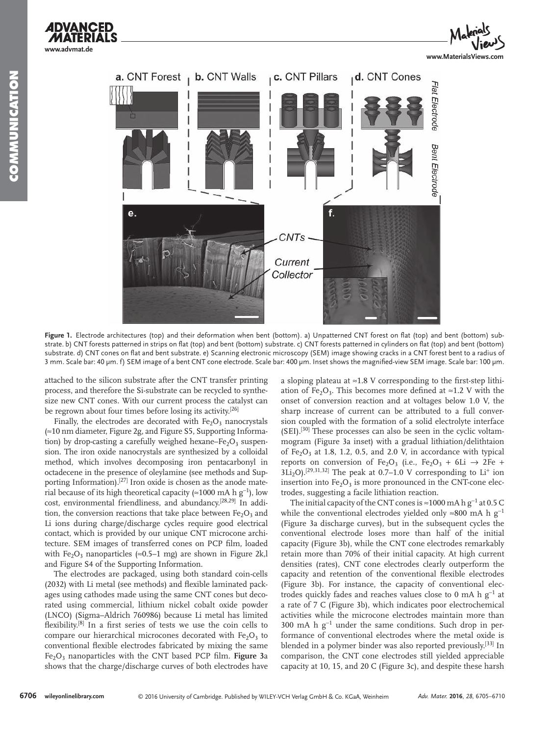**www.advmat.de**



Figure 1. Electrode architectures (top) and their deformation when bent (bottom). a) Unpatterned CNT forest on flat (top) and bent (bottom) substrate. b) CNT forests patterned in strips on flat (top) and bent (bottom) substrate. c) CNT forests patterned in cylinders on flat (top) and bent (bottom) substrate. d) CNT cones on flat and bent substrate. e) Scanning electronic microscopy (SEM) image showing cracks in a CNT forest bent to a radius of 3 mm. Scale bar: 40 µm. f) SEM image of a bent CNT cone electrode. Scale bar: 400 µm. Inset shows the magnified-view SEM image. Scale bar: 100 µm.

attached to the silicon substrate after the CNT transfer printing process, and therefore the Si-substrate can be recycled to synthesize new CNT cones. With our current process the catalyst can be regrown about four times before losing its activity.<sup>[26]</sup>

Finally, the electrodes are decorated with  $Fe<sub>2</sub>O<sub>3</sub>$  nanocrystals  $\approx$  10 nm diameter, Figure 2g, and Figure S5, Supporting Information) by drop-casting a carefully weighed hexane–Fe $_2$ O<sub>3</sub> suspension. The iron oxide nanocrystals are synthesized by a colloidal method, which involves decomposing iron pentacarbonyl in octadecene in the presence of oleylamine (see methods and Supporting Information).<sup>[27]</sup> Iron oxide is chosen as the anode material because of its high theoretical capacity (≈1000 mA h g<sup>-1</sup>), low cost, environmental friendliness, and abundancy.<sup>[28,29]</sup> In addition, the conversion reactions that take place between  $Fe<sub>2</sub>O<sub>3</sub>$  and Li ions during charge/discharge cycles require good electrical contact, which is provided by our unique CNT microcone architecture. SEM images of transferred cones on PCP film, loaded with  $Fe<sub>2</sub>O<sub>3</sub>$  nanoparticles (≈0.5–1 mg) are shown in Figure 2k,l and Figure S4 of the Supporting Information.

 The electrodes are packaged, using both standard coin-cells (2032) with Li metal (see methods) and flexible laminated packages using cathodes made using the same CNT cones but decorated using commercial, lithium nickel cobalt oxide powder (LNCO) (Sigma–Aldrich 760986) because Li metal has limited flexibility.<sup>[8]</sup> In a first series of tests we use the coin cells to compare our hierarchical microcones decorated with  $Fe<sub>2</sub>O<sub>3</sub>$  to conventional flexible electrodes fabricated by mixing the same Fe<sub>2</sub>O<sub>3</sub> nanoparticles with the CNT based PCP film. **Figure 3**a shows that the charge/discharge curves of both electrodes have

a sloping plateau at  $\approx$  1.8 V corresponding to the first-step lithiation of Fe<sub>2</sub>O<sub>3</sub>. This becomes more defined at ≈1.2 V with the onset of conversion reaction and at voltages below 1.0 V, the sharp increase of current can be attributed to a full conversion coupled with the formation of a solid electrolyte interface  $(SEI).$ <sup>[30]</sup> These processes can also be seen in the cyclic voltammogram (Figure 3a inset) with a gradual lithiation/delithtaion of  $Fe<sub>2</sub>O<sub>3</sub>$  at 1.8, 1.2, 0.5, and 2.0 V, in accordance with typical reports on conversion of Fe<sub>2</sub>O<sub>3</sub> (i.e., Fe<sub>2</sub>O<sub>3</sub> + 6Li  $\rightarrow$  2Fe +  $3\text{Li}_2\text{O}$ , [29,31,32] The peak at 0.7–1.0 V corresponding to Li<sup>+</sup> ion insertion into  $Fe<sub>2</sub>O<sub>3</sub>$  is more pronounced in the CNT-cone electrodes, suggesting a facile lithiation reaction.

The initial capacity of the CNT cones is ≈1000 mA h  $g^{-1}$  at 0.5 C while the conventional electrodes yielded only ≈800 mA h  $g^{-1}$ (Figure 3a discharge curves), but in the subsequent cycles the conventional electrode loses more than half of the initial capacity (Figure 3b), while the CNT cone electrodes remarkably retain more than 70% of their initial capacity. At high current densities (rates), CNT cone electrodes clearly outperform the capacity and retention of the conventional flexible electrodes (Figure 3b). For instance, the capacity of conventional electrodes quickly fades and reaches values close to 0 mA h  $g^{-1}$  at a rate of 7 C (Figure 3b), which indicates poor electrochemical activities while the microcone electrodes maintain more than 300 mA h g<sup>-1</sup> under the same conditions. Such drop in performance of conventional electrodes where the metal oxide is blended in a polymer binder was also reported previously.<sup>[33]</sup> In comparison, the CNT cone electrodes still yielded appreciable capacity at 10, 15, and 20 C (Figure 3c), and despite these harsh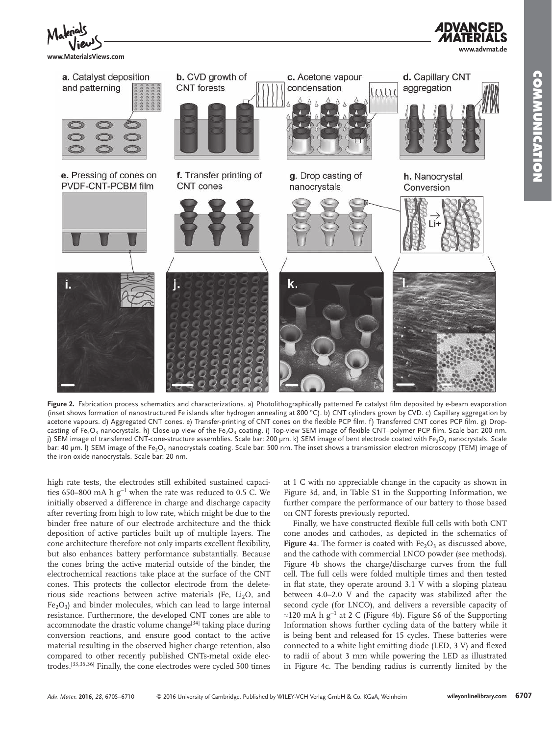

Figure 2. Fabrication process schematics and characterizations. a) Photolithographically patterned Fe catalyst film deposited by e-beam evaporation (inset shows formation of nanostructured Fe islands after hydrogen annealing at 800 °C). b) CNT cylinders grown by CVD. c) Capillary aggregation by acetone vapours. d) Aggregated CNT cones. e) Transfer-printing of CNT cones on the flexible PCP film. f) Transferred CNT cones PCP film. g) Dropcasting of Fe<sub>2</sub>O<sub>3</sub> nanocrystals. h) Close-up view of the Fe<sub>2</sub>O<sub>3</sub> coating. i) Top-view SEM image of flexible CNT–polymer PCP film. Scale bar: 200 nm. j) SEM image of transferred CNT-cone-structure assemblies. Scale bar: 200 µm. k) SEM image of bent electrode coated with Fe $_2$ O $_3$  nanocrystals. Scale bar: 40  $\mu$ m. I) SEM image of the Fe $_2$ O $_3$  nanocrystals coating. Scale bar: 500 nm. The inset shows a transmission electron microscopy (TEM) image of the iron oxide nanocrystals. Scale bar: 20 nm.

high rate tests, the electrodes still exhibited sustained capacities 650–800 mA h  $g^{-1}$  when the rate was reduced to 0.5 C. We initially observed a difference in charge and discharge capacity after reverting from high to low rate, which might be due to the binder free nature of our electrode architecture and the thick deposition of active particles built up of multiple layers. The cone architecture therefore not only imparts excellent flexibility, but also enhances battery performance substantially. Because the cones bring the active material outside of the binder, the electrochemical reactions take place at the surface of the CNT cones. This protects the collector electrode from the deleterious side reactions between active materials (Fe,  $Li<sub>2</sub>O$ , and  $Fe<sub>2</sub>O<sub>3</sub>$ ) and binder molecules, which can lead to large internal resistance. Furthermore, the developed CNT cones are able to accommodate the drastic volume change<sup>[34]</sup> taking place during conversion reactions, and ensure good contact to the active material resulting in the observed higher charge retention, also compared to other recently published CNTs-metal oxide electrodes.<sup>[33,35,36]</sup> Finally, the cone electrodes were cycled 500 times

at 1 C with no appreciable change in the capacity as shown in Figure 3d, and, in Table S1 in the Supporting Information, we further compare the performance of our battery to those based on CNT forests previously reported.

Finally, we have constructed flexible full cells with both CNT cone anodes and cathodes, as depicted in the schematics of **Figure** 4a. The former is coated with  $Fe<sub>2</sub>O<sub>3</sub>$  as discussed above, and the cathode with commercial LNCO powder (see methods). Figure 4b shows the charge/discharge curves from the full cell. The full cells were folded multiple times and then tested in flat state, they operate around  $3.1$  V with a sloping plateau between 4.0–2.0 V and the capacity was stabilized after the second cycle (for LNCO), and delivers a reversible capacity of ≈120 mA h g<sup>-1</sup> at 2 C (Figure 4b). Figure S6 of the Supporting Information shows further cycling data of the battery while it is being bent and released for 15 cycles. These batteries were connected to a white light emitting diode (LED, 3 V) and flexed to radii of about 3 mm while powering the LED as illustrated in Figure 4c. The bending radius is currently limited by the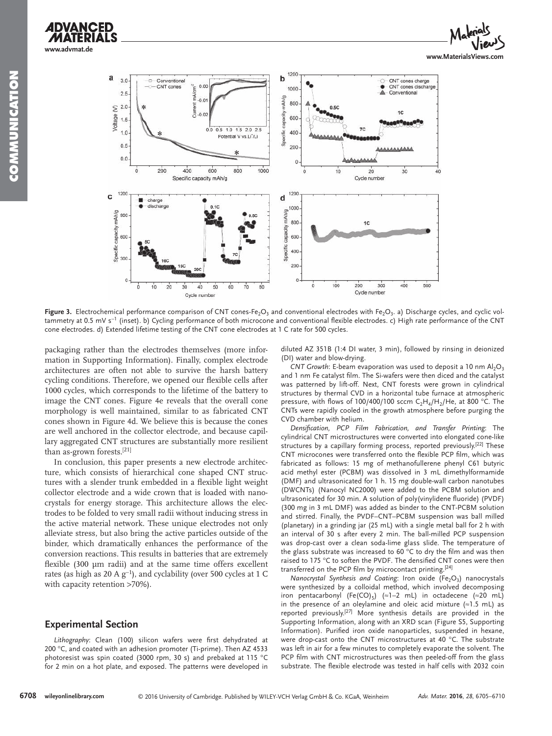

**Figure 3.** Electrochemical performance comparison of CNT cones-Fe<sub>2</sub>O<sub>3</sub> and conventional electrodes with Fe<sub>2</sub>O<sub>3</sub>. a) Discharge cycles, and cyclic voltammetry at 0.5 mV s<sup>-1</sup> (inset). b) Cycling performance of both microcone and conventional flexible electrodes. c) High rate performance of the CNT cone electrodes. d) Extended lifetime testing of the CNT cone electrodes at 1 C rate for 500 cycles.

packaging rather than the electrodes themselves (more information in Supporting Information). Finally, complex electrode architectures are often not able to survive the harsh battery cycling conditions. Therefore, we opened our flexible cells after 1000 cycles, which corresponds to the lifetime of the battery to image the CNT cones. Figure 4e reveals that the overall cone morphology is well maintained, similar to as fabricated CNT cones shown in Figure 4d. We believe this is because the cones are well anchored in the collector electrode, and because capillary aggregated CNT structures are substantially more resilient than as-grown forests.<sup>[21]</sup>

 In conclusion, this paper presents a new electrode architecture, which consists of hierarchical cone shaped CNT structures with a slender trunk embedded in a flexible light weight collector electrode and a wide crown that is loaded with nanocrystals for energy storage. This architecture allows the electrodes to be folded to very small radii without inducing stress in the active material network. These unique electrodes not only alleviate stress, but also bring the active particles outside of the binder, which dramatically enhances the performance of the conversion reactions. This results in batteries that are extremely flexible  $(300 \mu m \text{ radi})$  and at the same time offers excellent rates (as high as 20 A  $g^{-1}$ ), and cyclability (over 500 cycles at 1 C with capacity retention >70%).

#### **Experimental Section**

Lithography: Clean (100) silicon wafers were first dehydrated at 200 °C, and coated with an adhesion promoter (Ti-prime). Then AZ 4533 photoresist was spin coated (3000 rpm, 30 s) and prebaked at 115 °C for 2 min on a hot plate, and exposed. The patterns were developed in diluted AZ 351B (1:4 DI water, 3 min), followed by rinsing in deionized (DI) water and blow-drying.

*CNT Growth*: E-beam evaporation was used to deposit a 10 nm  $Al_2O_3$ and 1 nm Fe catalyst film. The Si-wafers were then diced and the catalyst was patterned by lift-off. Next, CNT forests were grown in cylindrical structures by thermal CVD in a horizontal tube furnace at atmospheric pressure, with flows of 100/400/100 sccm  $C_2H_4/H_2/H$ e, at 800 °C. The CNTs were rapidly cooled in the growth atmosphere before purging the CVD chamber with helium.

*Densification, PCP Film Fabrication, and Transfer Printing*: The cylindrical CNT microstructures were converted into elongated cone-like structures by a capillary forming process, reported previously.<sup>[22]</sup> These CNT microcones were transferred onto the flexible PCP film, which was fabricated as follows: 15 mg of methanofullerene phenyl C61 butyric acid methyl ester (PCBM) was dissolved in 3 mL dimethylformamide (DMF) and ultrasonicated for 1 h. 15 mg double-wall carbon nanotubes (DWCNTs) (Nanocyl NC2000) were added to the PCBM solution and ultrasonicated for 30 min. A solution of poly(vinylidene fluoride) (PVDF) (300 mg in 3 mL DMF) was added as binder to the CNT-PCBM solution and stirred. Finally, the PVDF–CNT–PCBM suspension was ball milled (planetary) in a grinding jar (25 mL) with a single metal ball for 2 h with an interval of 30 s after every 2 min. The ball-milled PCP suspension was drop-cast over a clean soda-lime glass slide. The temperature of the glass substrate was increased to 60  $\degree$ C to dry the film and was then raised to 175  $\degree$ C to soften the PVDF. The densified CNT cones were then transferred on the PCP film by microcontact printing.<sup>[24]</sup>

*Nanocrystal Synthesis and Coating*: Iron oxide (Fe<sub>2</sub>O<sub>3</sub>) nanocrystals were synthesized by a colloidal method, which involved decomposing iron pentacarbonyl (Fe(CO)<sub>5</sub>) (≈1-2 mL) in octadecene (≈20 mL) in the presence of an oleylamine and oleic acid mixture  $( \approx 1.5 \text{ mL})$  as reported previously.<sup>[27]</sup> More synthesis details are provided in the Supporting Information, along with an XRD scan (Figure S5, Supporting Information). Purified iron oxide nanoparticles, suspended in hexane, were drop-cast onto the CNT microstructures at 40 °C. The substrate was left in air for a few minutes to completely evaporate the solvent. The PCP film with CNT microstructures was then peeled-off from the glass substrate. The flexible electrode was tested in half cells with 2032 coin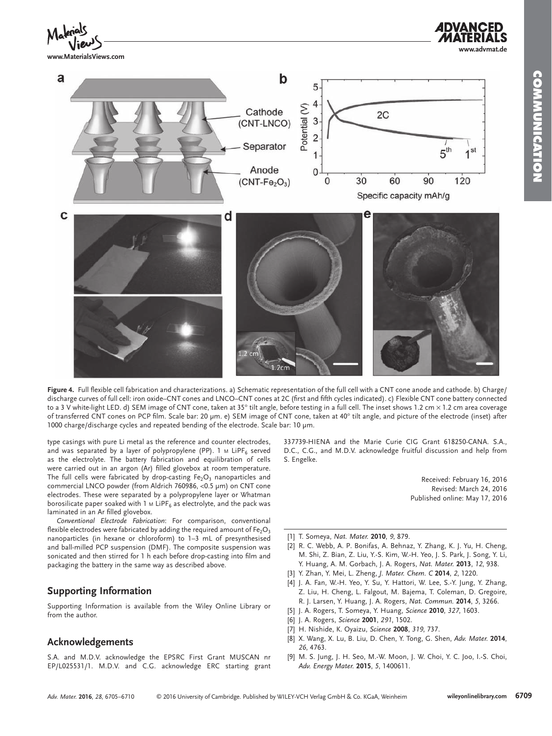**www.advmat.de**

![](_page_4_Figure_1.jpeg)

**www.MaterialsViews.com**

![](_page_4_Figure_3.jpeg)

Figure 4. Full flexible cell fabrication and characterizations. a) Schematic representation of the full cell with a CNT cone anode and cathode. b) Charge/ discharge curves of full cell: iron oxide–CNT cones and LNCO–CNT cones at 2C (first and fifth cycles indicated). c) Flexible CNT cone battery connected to a 3 V white-light LED. d) SEM image of CNT cone, taken at 35° tilt angle, before testing in a full cell. The inset shows 1.2 cm × 1.2 cm area coverage of transferred CNT cones on PCP film. Scale bar: 20 µm. e) SEM image of CNT cone, taken at 40° tilt angle, and picture of the electrode (inset) after 1000 charge/discharge cycles and repeated bending of the electrode. Scale bar: 10 µm.

type casings with pure Li metal as the reference and counter electrodes, and was separated by a layer of polypropylene (PP). 1 м LiPF $_{\rm 6}$  served as the electrolyte. The battery fabrication and equilibration of cells were carried out in an argon (Ar) filled glovebox at room temperature. The full cells were fabricated by drop-casting  $\mathsf{Fe_{2}O_{3}}$  nanoparticles and commercial LNCO powder (from Aldrich 760986, <0.5 µm) on CNT cone electrodes. These were separated by a polypropylene layer or Whatman borosilicate paper soaked with 1 м LiPF $_{\rm 6}$  as electrolyte, and the pack was laminated in an Ar filled glovebox.

Conventional Electrode Fabrication: For comparison, conventional flexible electrodes were fabricated by adding the required amount of Fe $_{2} \mathrm{O}_{3}$ nanoparticles (in hexane or chloroform) to 1–3 mL of presynthesised and ball-milled PCP suspension (DMF). The composite suspension was sonicated and then stirred for 1 h each before drop-casting into film and packaging the battery in the same way as described above.

## **Supporting Information**

 Supporting Information is available from the Wiley Online Library or from the author.

#### **Acknowledgements**

 S.A. and M.D.V. acknowledge the EPSRC First Grant MUSCAN nr EP/L025531/1. M.D.V. and C.G. acknowledge ERC starting grant 337739-HIENA and the Marie Curie CIG Grant 618250-CANA. S.A., D.C., C.G., and M.D.V. acknowledge fruitful discussion and help from S. Engelke.

> Received: February 16, 2016 Revised: March 24, 2016 Published online: May 17, 2016

- [1] T. Someya, *Nat. Mater.* **2010**, 9, 879.
- [2] R. C. Webb, A. P. Bonifas, A. Behnaz, Y. Zhang, K. J. Yu, H. Cheng, M. Shi, Z. Bian, Z. Liu, Y.-S. Kim, W.-H. Yeo, J. S. Park, J. Song, Y. Li, Y. Huang, A. M. Gorbach, J. A. Rogers, *Nat. Mater.* **2013**, 12, 938.
- [3] Y. Zhan, Y. Mei, L. Zheng, J. Mater. Chem. C 2014, 2, 1220.
- [4] J. A. Fan, W.-H. Yeo, Y. Su, Y. Hattori, W. Lee, S.-Y. Jung, Y. Zhang, Z. Liu, H. Cheng, L. Falgout, M. Bajema, T. Coleman, D. Gregoire, R. J. Larsen, Y. Huang, J. A. Rogers, *Nat. Commun.* **2014**, 5, 3266.
- [5] J. A. Rogers, T. Someya, Y. Huang, *Science* **2010**, 327, 1603.
- [6] J. A. Rogers , *Science* **2001** , *291* , 1502 .
- [7] H. Nishide, K. Oyaizu, *Science* **2008**, 319, 737.
- [8] X. Wang, X. Lu, B. Liu, D. Chen, Y. Tong, G. Shen, Adv. Mater. 2014, *26* , 4763 .
- [9] M. S. Jung, J. H. Seo, M.-W. Moon, J. W. Choi, Y. C. Joo, I.-S. Choi, *Adv. Energy Mater.* **2015** , *5* , 1400611 .